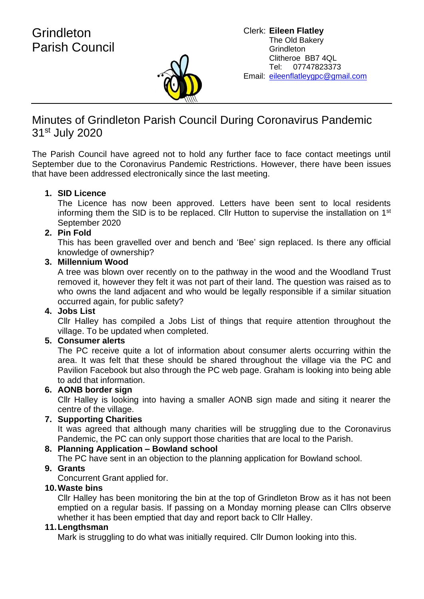

# Minutes of Grindleton Parish Council During Coronavirus Pandemic 31<sup>st</sup> July 2020

The Parish Council have agreed not to hold any further face to face contact meetings until September due to the Coronavirus Pandemic Restrictions. However, there have been issues that have been addressed electronically since the last meeting.

## **1. SID Licence**

The Licence has now been approved. Letters have been sent to local residents informing them the SID is to be replaced. Cllr Hutton to supervise the installation on 1<sup>st</sup> September 2020

## **2. Pin Fold**

This has been gravelled over and bench and 'Bee' sign replaced. Is there any official knowledge of ownership?

## **3. Millennium Wood**

A tree was blown over recently on to the pathway in the wood and the Woodland Trust removed it, however they felt it was not part of their land. The question was raised as to who owns the land adjacent and who would be legally responsible if a similar situation occurred again, for public safety?

## **4. Jobs List**

Cllr Halley has compiled a Jobs List of things that require attention throughout the village. To be updated when completed.

#### **5. Consumer alerts**

The PC receive quite a lot of information about consumer alerts occurring within the area. It was felt that these should be shared throughout the village via the PC and Pavilion Facebook but also through the PC web page. Graham is looking into being able to add that information.

## **6. AONB border sign**

Cllr Halley is looking into having a smaller AONB sign made and siting it nearer the centre of the village.

#### **7. Supporting Charities**

It was agreed that although many charities will be struggling due to the Coronavirus Pandemic, the PC can only support those charities that are local to the Parish.

## **8. Planning Application – Bowland school**

The PC have sent in an objection to the planning application for Bowland school.

## **9. Grants**

Concurrent Grant applied for.

#### **10.Waste bins**

Cllr Halley has been monitoring the bin at the top of Grindleton Brow as it has not been emptied on a regular basis. If passing on a Monday morning please can Cllrs observe whether it has been emptied that day and report back to Cllr Halley.

## **11.Lengthsman**

Mark is struggling to do what was initially required. Cllr Dumon looking into this.